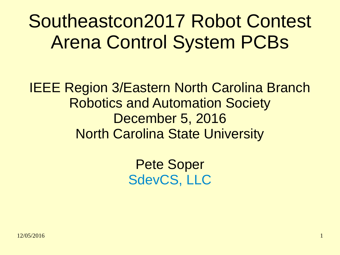Southeastcon2017 Robot Contest Arena Control System PCBs

IEEE Region 3/Eastern North Carolina Branch Robotics and Automation Society December 5, 2016 North Carolina State University

> Pete Soper [SdevCS, LLC](mailto:pete.soper@SDevCS.com)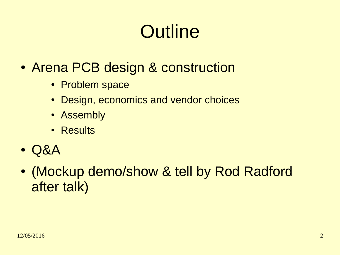# **Outline**

- Arena PCB design & construction
	- Problem space
	- Design, economics and vendor choices
	- Assembly
	- Results
- Q&A
- (Mockup demo/show & tell by Rod Radford after talk)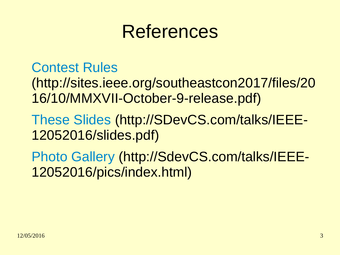#### References

[Contest Rules](http://sites.ieee.org/southeastcon2017/files/2016/10/MMXVII-October-9-release.pdf)

(http://sites.ieee.org/southeastcon2017/files/20 16/10/MMXVII-October-9-release.pdf)

[These Slides](http://SDevCS.com/talks/IEEE-12052016/slides.pdf) (http://SDevCS.com/talks/IEEE-12052016/slides.pdf)

[Photo Gallery](http://SdevCS.com/talks/IEEE-12052016/pics/index.html) (http://SdevCS.com/talks/IEEE-12052016/pics/index.html)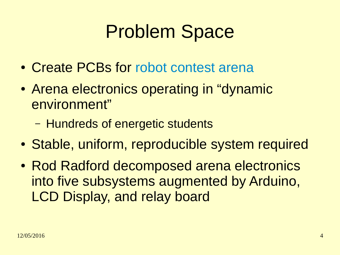## Problem Space

- Create PCBs for [robot contest arena](http://sites.ieee.org/southeastcon2017/files/2016/10/MMXVII-October-9-release.pdf)
- Arena electronics operating in "dynamic environment"
	- Hundreds of energetic students
- Stable, uniform, reproducible system required
- Rod Radford decomposed arena electronics into five subsystems augmented by Arduino, LCD Display, and relay board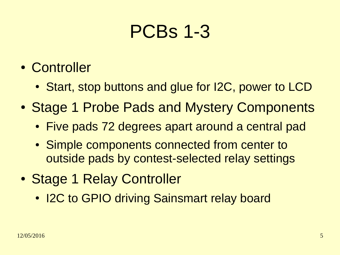### PCBs 1-3

- Controller
	- Start, stop buttons and glue for I2C, power to LCD
- Stage 1 Probe Pads and Mystery Components
	- Five pads 72 degrees apart around a central pad
	- Simple components connected from center to outside pads by contest-selected relay settings
- Stage 1 Relay Controller
	- I2C to GPIO driving Sainsmart relay board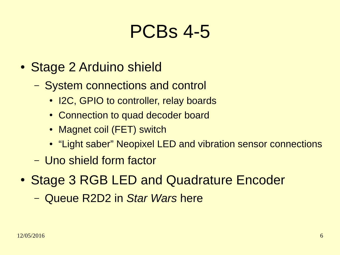#### PCBs 4-5

- Stage 2 Arduino shield
	- System connections and control
		- I2C, GPIO to controller, relay boards
		- Connection to quad decoder board
		- Magnet coil (FET) switch
		- "Light saber" Neopixel LED and vibration sensor connections
	- Uno shield form factor
- Stage 3 RGB LED and Quadrature Encoder
	- Queue R2D2 in *Star Wars* here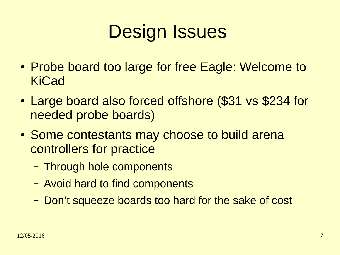## Design Issues

- Probe board too large for free Eagle: Welcome to KiCad
- Large board also forced offshore (\$31 vs \$234 for needed probe boards)
- Some contestants may choose to build arena controllers for practice
	- Through hole components
	- Avoid hard to find components
	- Don't squeeze boards too hard for the sake of cost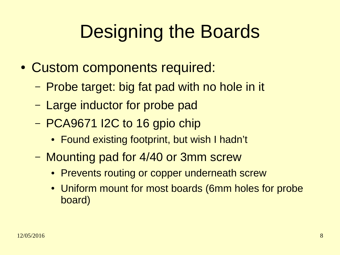# Designing the Boards

- Custom components required:
	- Probe target: big fat pad with no hole in it
	- Large inductor for probe pad
	- PCA9671 I2C to 16 gpio chip
		- Found existing footprint, but wish I hadn't
	- Mounting pad for 4/40 or 3mm screw
		- Prevents routing or copper underneath screw
		- Uniform mount for most boards (6mm holes for probe board)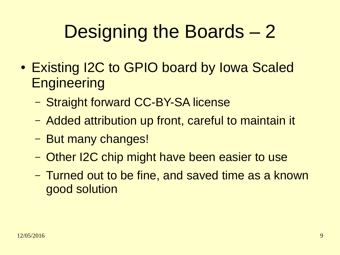# Designing the Boards – 2

- Existing I2C to GPIO board by Iowa Scaled **Engineering** 
	- Straight forward CC-BY-SA license
	- Added attribution up front, careful to maintain it
	- But many changes!
	- Other I2C chip might have been easier to use
	- Turned out to be fine, and saved time as a known good solution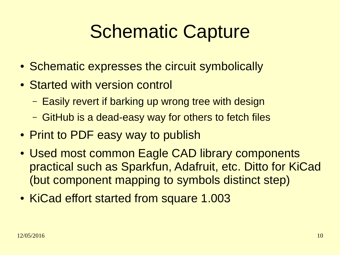## Schematic Capture

- Schematic expresses the circuit symbolically
- Started with version control
	- Easily revert if barking up wrong tree with design
	- GitHub is a dead-easy way for others to fetch files
- Print to PDF easy way to publish
- Used most common Eagle CAD library components practical such as Sparkfun, Adafruit, etc. Ditto for KiCad (but component mapping to symbols distinct step)
- KiCad effort started from square 1.003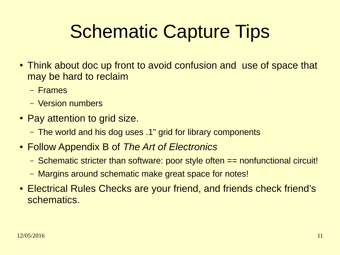# Schematic Capture Tips

- Think about doc up front to avoid confusion and use of space that may be hard to reclaim
	- Frames
	- Version numbers
- Pay attention to grid size.
	- The world and his dog uses .1" grid for library components
- Follow Appendix B of *The Art of Electronics*
	- Schematic stricter than software: poor style often == nonfunctional circuit!
	- Margins around schematic make great space for notes!
- Electrical Rules Checks are your friend, and friends check friend's schematics.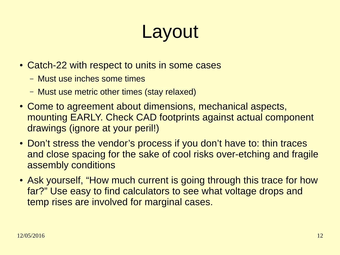# Layout

- Catch-22 with respect to units in some cases
	- Must use inches some times
	- Must use metric other times (stay relaxed)
- Come to agreement about dimensions, mechanical aspects, mounting EARLY. Check CAD footprints against actual component drawings (ignore at your peril!)
- Don't stress the vendor's process if you don't have to: thin traces and close spacing for the sake of cool risks over-etching and fragile assembly conditions
- Ask yourself, "How much current is going through this trace for how far?" Use easy to find calculators to see what voltage drops and temp rises are involved for marginal cases.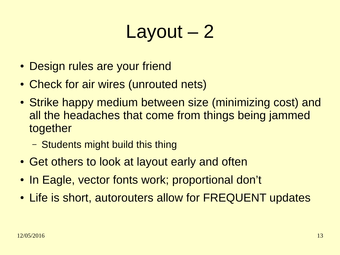## Layout – 2

- Design rules are your friend
- Check for air wires (unrouted nets)
- Strike happy medium between size (minimizing cost) and all the headaches that come from things being jammed together
	- Students might build this thing
- Get others to look at layout early and often
- In Eagle, vector fonts work; proportional don't
- Life is short, autorouters allow for FREQUENT updates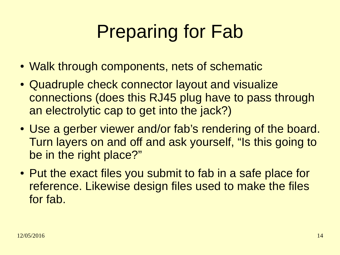# Preparing for Fab

- Walk through components, nets of schematic
- Quadruple check connector layout and visualize connections (does this RJ45 plug have to pass through an electrolytic cap to get into the jack?)
- Use a gerber viewer and/or fab's rendering of the board. Turn layers on and off and ask yourself, "Is this going to be in the right place?"
- Put the exact files you submit to fab in a safe place for reference. Likewise design files used to make the files for fab.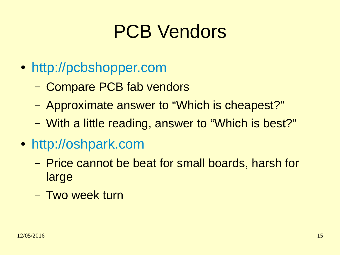## PCB Vendors

- [http://pcbshopper.com](http://pcbshopper.com/)
	- Compare PCB fab vendors
	- Approximate answer to "Which is cheapest?"
	- With a little reading, answer to "Which is best?"
- [http://oshpark.com](http://oshpark.com/)
	- Price cannot be beat for small boards, harsh for large
	- Two week turn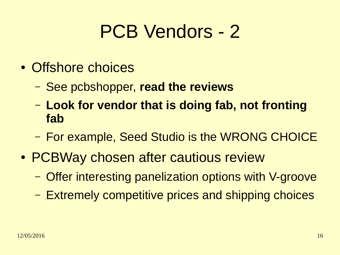### PCB Vendors - 2

- Offshore choices
	- See pcbshopper, **read the reviews**
	- **Look for vendor that is doing fab, not fronting fab**
	- For example, Seed Studio is the WRONG CHOICE
- PCBWay chosen after cautious review
	- Offer interesting panelization options with V-groove
	- Extremely competitive prices and shipping choices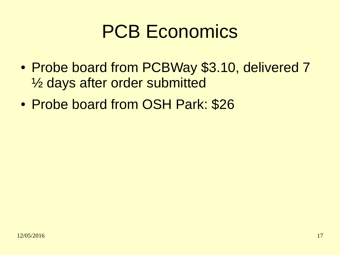### PCB Economics

- Probe board from PCBWay \$3.10, delivered 7 ½ days after order submitted
- Probe board from OSH Park: \$26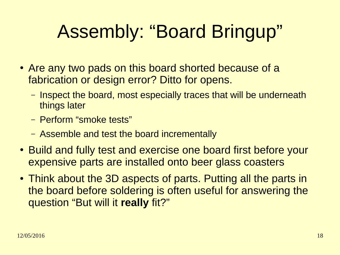# Assembly: "Board Bringup"

- Are any two pads on this board shorted because of a fabrication or design error? Ditto for opens.
	- Inspect the board, most especially traces that will be underneath things later
	- Perform "smoke tests"
	- Assemble and test the board incrementally
- Build and fully test and exercise one board first before your expensive parts are installed onto beer glass coasters
- Think about the 3D aspects of parts. Putting all the parts in the board before soldering is often useful for answering the question "But will it **really** fit?"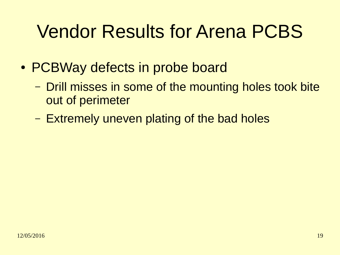## Vendor Results for Arena PCBS

- PCBWay defects in probe board
	- Drill misses in some of the mounting holes took bite out of perimeter
	- Extremely uneven plating of the bad holes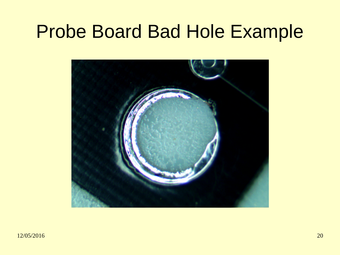#### Probe Board Bad Hole Example

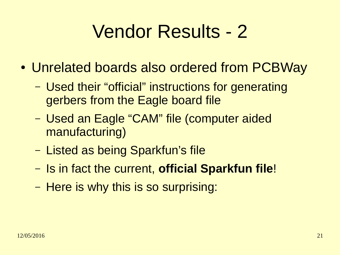## Vendor Results - 2

- Unrelated boards also ordered from PCBWay
	- Used their "official" instructions for generating gerbers from the Eagle board file
	- Used an Eagle "CAM" file (computer aided manufacturing)
	- Listed as being Sparkfun's file
	- Is in fact the current, **official Sparkfun file**!
	- Here is why this is so surprising: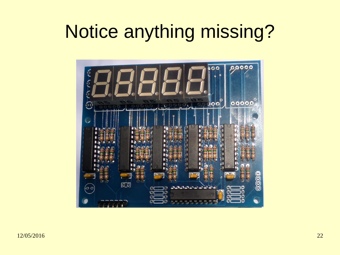## Notice anything missing?

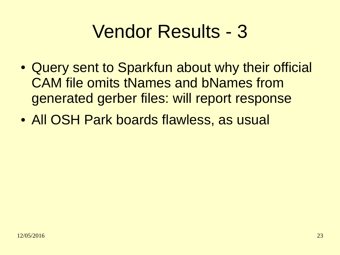## Vendor Results - 3

- Query sent to Sparkfun about why their official CAM file omits tNames and bNames from generated gerber files: will report response
- All OSH Park boards flawless, as usual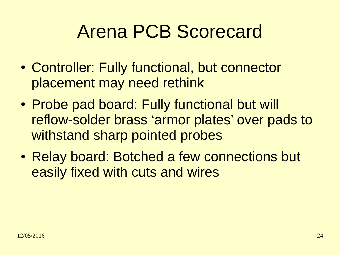### Arena PCB Scorecard

- Controller: Fully functional, but connector placement may need rethink
- Probe pad board: Fully functional but will reflow-solder brass 'armor plates' over pads to withstand sharp pointed probes
- Relay board: Botched a few connections but easily fixed with cuts and wires